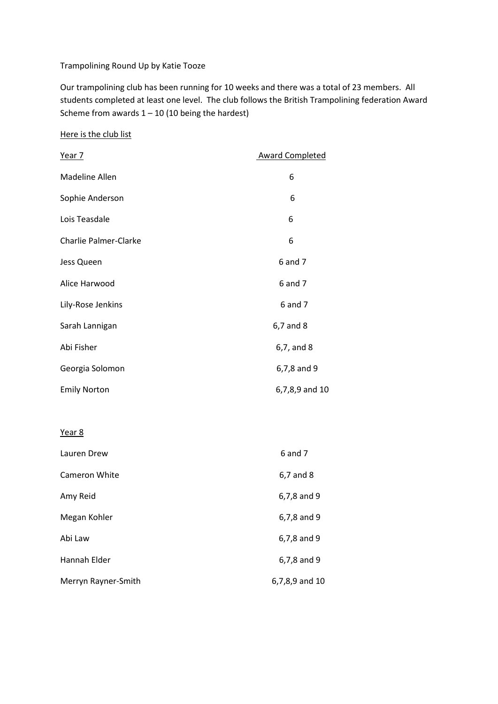## Trampolining Round Up by Katie Tooze

Our trampolining club has been running for 10 weeks and there was a total of 23 members. All students completed at least one level. The club follows the British Trampolining federation Award Scheme from awards  $1 - 10$  (10 being the hardest)

## Here is the club list

| <u>Year 7</u>                | <b>Award Completed</b> |
|------------------------------|------------------------|
| Madeline Allen               | 6                      |
| Sophie Anderson              | 6                      |
| Lois Teasdale                | 6                      |
| <b>Charlie Palmer-Clarke</b> | 6                      |
| Jess Queen                   | 6 and 7                |
| Alice Harwood                | 6 and 7                |
| Lily-Rose Jenkins            | 6 and 7                |
| Sarah Lannigan               | 6,7 and 8              |
| Abi Fisher                   | 6,7, and 8             |
| Georgia Solomon              | 6,7,8 and 9            |
| <b>Emily Norton</b>          | 6,7,8,9 and 10         |
|                              |                        |
| Year 8                       |                        |
| Lauren Drew                  | 6 and 7                |
| Cameron White                | 6,7 and 8              |
| Amy Reid                     | 6,7,8 and 9            |
| Megan Kohler                 | 6,7,8 and 9            |
| Abi Law                      | 6,7,8 and 9            |
| Hannah Elder                 | 6,7,8 and 9            |
| Merryn Rayner-Smith          | 6,7,8,9 and 10         |